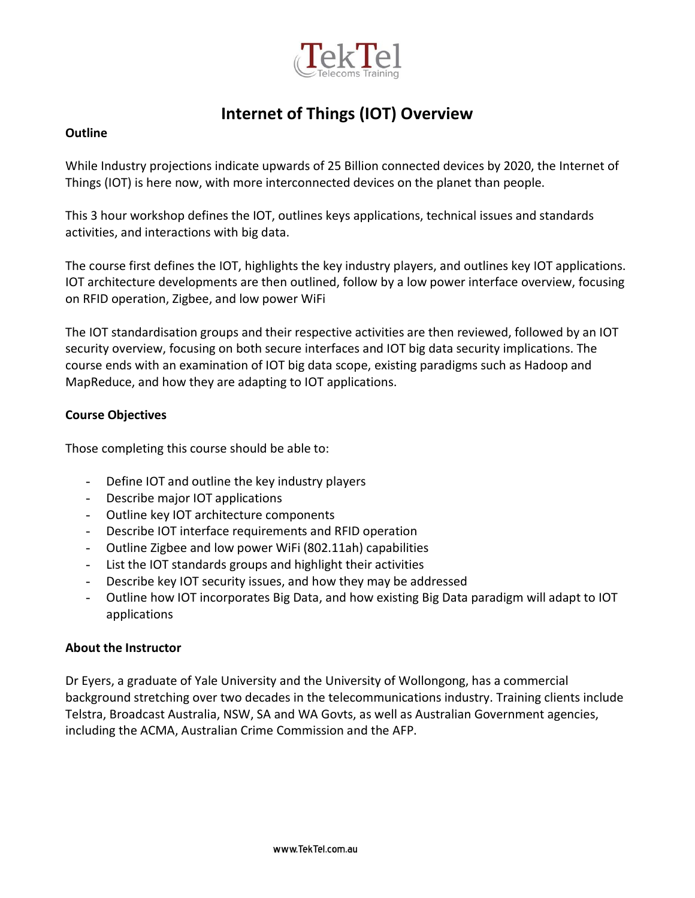

# **Internet of Things (IOT) Overview**

#### **Outline**

While Industry projections indicate upwards of 25 Billion connected devices by 2020, the Internet of Things (IOT) is here now, with more interconnected devices on the planet than people.

This 3 hour workshop defines the IOT, outlines keys applications, technical issues and standards activities, and interactions with big data.

The course first defines the IOT, highlights the key industry players, and outlines key IOT applications. IOT architecture developments are then outlined, follow by a low power interface overview, focusing on RFID operation, Zigbee, and low power WiFi

The IOT standardisation groups and their respective activities are then reviewed, followed by an IOT security overview, focusing on both secure interfaces and IOT big data security implications. The course ends with an examination of IOT big data scope, existing paradigms such as Hadoop and MapReduce, and how they are adapting to IOT applications.

### **Course Objectives**

Those completing this course should be able to:

- Define IOT and outline the key industry players
- Describe major IOT applications
- Outline key IOT architecture components
- Describe IOT interface requirements and RFID operation
- Outline Zigbee and low power WiFi (802.11ah) capabilities
- List the IOT standards groups and highlight their activities
- Describe key IOT security issues, and how they may be addressed
- Outline how IOT incorporates Big Data, and how existing Big Data paradigm will adapt to IOT applications

### **About the Instructor**

Dr Eyers, a graduate of Yale University and the University of Wollongong, has a commercial background stretching over two decades in the telecommunications industry. Training clients include Telstra, Broadcast Australia, NSW, SA and WA Govts, as well as Australian Government agencies, including the ACMA, Australian Crime Commission and the AFP.